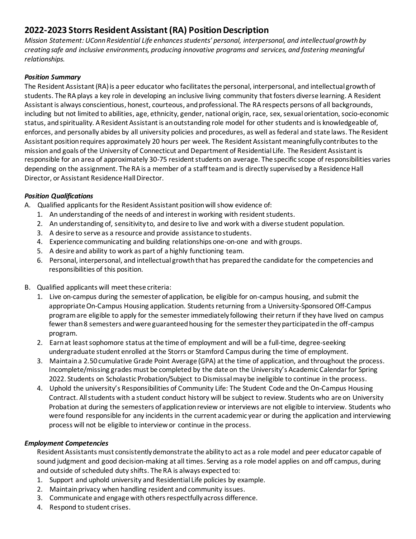# **2022-2023 Storrs Resident Assistant (RA) Position Description**

*Mission Statement: UConn Residential Life enhances students' personal, interpersonal, and intellectual growth by creating safe and inclusive environments, producing innovative programs and services, and fostering meaningful relationships.*

# *Position Summary*

The Resident Assistant (RA) is a peer educator who facilitates the personal, interpersonal, and intellectual growth of students. The RA plays a key role in developing an inclusive living community that fosters diverse learning. A Resident Assistant is always conscientious, honest, courteous, and professional. The RA respects persons of all backgrounds, including but not limited to abilities, age, ethnicity, gender, national origin, race, sex, sexual orientation, socio-economic status, and spirituality. A Resident Assistant is an outstanding role model for other students and is knowledgeable of, enforces, and personally abides by all university policies and procedures, as well as federal and state laws. The Resident Assistant position requires approximately 20 hours per week. The Resident Assistant meaningfully contributes to the mission and goals of the University of Connecticut and Department of Residential Life. The Resident Assistant is responsible for an area of approximately 30-75 resident students on average. The specific scope of responsibilities varies depending on the assignment. The RA is a member of a staff team and is directly supervised by a Residence Hall Director, or Assistant Residence Hall Director.

# *Position Qualifications*

- A. Qualified applicants for the Resident Assistant position will show evidence of:
	- 1. An understanding of the needs of and interest in working with resident students.
	- 2. An understanding of, sensitivity to, and desire to live and work with a diverse student population.
	- 3. A desire to serve as a resource and provide assistance to students.
	- 4. Experience communicating and building relationships one-on-one and with groups.
	- 5. A desire and ability to work as part of a highly functioning team.
	- 6. Personal, interpersonal, and intellectual growth that has prepared the candidate for the competencies and responsibilities of this position.
- B. Qualified applicants will meet these criteria:
	- 1. Live on-campus during the semester of application, be eligible for on-campus housing, and submit the appropriate On-Campus Housing application. Students returning from a University-Sponsored Off-Campus program are eligible to apply for the semester immediately following their return if they have lived on campus fewer than 8 semesters and were guaranteed housing for the semester they participated in the off-campus program.
	- 2. Earn at least sophomore status at the time of employment and will be a full-time, degree-seeking undergraduate student enrolled at the Storrs or Stamford Campus during the time of employment.
	- 3. Maintain a 2.50 cumulative Grade Point Average (GPA) at the time of application, and throughout the process. Incomplete/missing grades must be completed by the date on the University's Academic Calendar for Spring 2022. Students on Scholastic Probation/Subject to Dismissal may be ineligible to continue in the process.
	- 4. Uphold the university's Responsibilities of Community Life: The Student Code and the On-Campus Housing Contract. All students with a student conduct history will be subject to review. Students who are on University Probation at during the semesters of application review or interviews are not eligible to interview. Students who were found responsible for any incidents in the current academic year or during the application and interviewing process will not be eligible to interview or continue in the process.

## *Employment Competencies*

Resident Assistants must consistently demonstrate the ability to act as a role model and peer educator capable of sound judgment and good decision-making at all times. Serving as a role model applies on and off campus, during and outside of scheduled duty shifts. The RA is always expected to:

- 1. Support and uphold university and Residential Life policies by example.
- 2. Maintain privacy when handling resident and community issues.
- 3. Communicate and engage with others respectfully across difference.
- 4. Respond to student crises.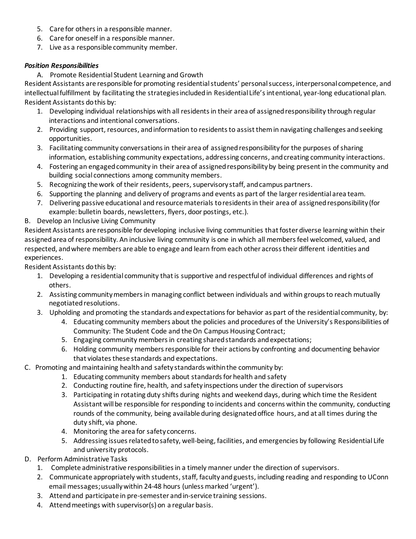- 5. Care for others in a responsible manner.
- 6. Care for oneself in a responsible manner.
- 7. Live as a responsible community member.

#### *Position Responsibilities*

A. Promote Residential Student Learning and Growth

Resident Assistants are responsible for promoting residential students' personal success, interpersonal competence, and intellectual fulfillment by facilitating the strategies included in Residential Life's intentional, year-long educational plan. Resident Assistants do this by:

- 1. Developing individual relationships with all residents in their area of assigned responsibility through regular interactions and intentional conversations.
- 2. Providing support, resources, and information to residents to assist them in navigating challenges and seeking opportunities.
- 3. Facilitating community conversations in their area of assigned responsibility for the purposes of sharing information, establishing community expectations, addressing concerns, and creating community interactions.
- 4. Fostering an engaged community in their area of assigned responsibility by being present in the community and building social connections among community members.
- 5. Recognizing the work of their residents, peers, supervisory staff, and campus partners.
- 6. Supporting the planning and delivery of programs and events as part of the larger residential area team.
- 7. Delivering passive educational and resource materials to residents in their area of assigned responsibility (for example: bulletin boards, newsletters, flyers, door postings, etc.).

## B. Develop an Inclusive Living Community

Resident Assistants are responsible for developing inclusive living communities that foster diverse learning within their assigned area of responsibility. An inclusive living community is one in which all members feel welcomed, valued, and respected, and where members are able to engage and learn from each other across their different identities and experiences.

Resident Assistants do this by:

- 1. Developing a residential community that is supportive and respectful of individual differences and rights of others.
- 2. Assisting community members in managing conflict between individuals and within groups to reach mutually negotiated resolutions.
- 3. Upholding and promoting the standards and expectations for behavior as part of the residential community, by:
	- 4. Educating community members about the policies and procedures of the University's Responsibilities of Community: The Student Code and the On Campus Housing Contract;
		- 5. Engaging community members in creating shared standards and expectations;
		- 6. Holding community members responsible for their actions by confronting and documenting behavior that violates these standards and expectations.

## C. Promoting and maintaining health and safety standards within the community by:

- 1. Educating community members about standards for health and safety
	- 2. Conducting routine fire, health, and safety inspections under the direction of supervisors
	- 3. Participating in rotating duty shifts during nights and weekend days, during which time the Resident Assistant will be responsible for responding to incidents and concerns within the community, conducting rounds of the community, being available during designated office hours, and at all times during the duty shift, via phone.
	- 4. Monitoring the area for safety concerns.
	- 5. Addressing issues related to safety, well-being, facilities, and emergencies by following Residential Life and university protocols.
- D. Perform Administrative Tasks
	- 1. Complete administrative responsibilities in a timely manner under the direction of supervisors.
	- 2. Communicate appropriately with students, staff, faculty and guests, including reading and responding to UConn email messages; usually within 24-48 hours (unless marked 'urgent').
	- 3. Attend and participate in pre-semester and in-service training sessions.
	- 4. Attend meetings with supervisor(s) on a regular basis.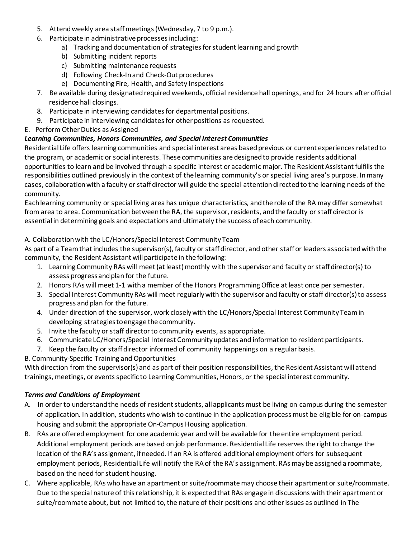- 5. Attend weekly area staff meetings (Wednesday, 7 to 9 p.m.).
- 6. Participate in administrative processes including:
	- a) Tracking and documentation of strategies for student learning and growth
	- b) Submitting incident reports
	- c) Submitting maintenance requests
	- d) Following Check-In and Check-Out procedures
	- e) Documenting Fire, Health, and Safety Inspections
- 7. Be available during designated required weekends, official residence hall openings, and for 24 hours after official residence hall closings.
- 8. Participate in interviewing candidates for departmental positions.
- 9. Participate in interviewing candidates for other positions as requested.
- E. Perform Other Duties as Assigned

#### *Learning Communities, Honors Communities, and Special Interest Communities*

Residential Life offers learning communities and special interest areas based previous or current experiences related to the program, or academic or social interests. These communities are designed to provide residents additional opportunities to learn and be involved through a specific interest or academic major. The Resident Assistant fulfills the responsibilities outlined previously in the context of the learning community's or special living area's purpose. In many cases, collaboration with a faculty or staff director will guide the special attention directed to the learning needs of the community.

Each learning community or special living area has unique characteristics, and the role of the RA may differ somewhat from area to area. Communication between the RA, the supervisor, residents, and the faculty or staff director is essential in determining goals and expectations and ultimately the success of each community.

#### A. Collaboration with the LC/Honors/Special Interest Community Team

As part of a Team that includes the supervisor(s), faculty or staff director, and other staff or leaders associated with the community, the Resident Assistant will participate in the following:

- 1. Learning Community RAs will meet (at least) monthly with the supervisor and faculty or staff director(s) to assess progress and plan for the future.
- 2. Honors RAs will meet 1-1 with a member of the Honors Programming Office at least once per semester.
- 3. Special Interest Community RAs will meet regularly with the supervisor and faculty or staff director(s) to assess progress and plan for the future.
- 4. Under direction of the supervisor, work closely with the LC/Honors/Special Interest Community Team in developing strategies to engage the community.
- 5. Invite the faculty or staff director to community events, as appropriate.
- 6. Communicate LC/Honors/Special Interest Community updates and information to resident participants.
- 7. Keep the faculty or staff director informed of community happenings on a regular basis.

#### B. Community-Specific Training and Opportunities

With direction from the supervisor(s) and as part of their position responsibilities, the Resident Assistant will attend trainings, meetings, or events specific to Learning Communities, Honors, or the special interest community.

#### *Terms and Conditions of Employment*

- A. In order to understand the needs of resident students, all applicants must be living on campus during the semester of application. In addition, students who wish to continue in the application process must be eligible for on-campus housing and submit the appropriate On-Campus Housing application.
- B. RAs are offered employment for one academic year and will be available for the entire employment period. Additional employment periods are based on job performance. Residential Life reserves the right to change the location of the RA's assignment, if needed. If an RA is offered additional employment offers for subsequent employment periods, Residential Life will notify the RA of the RA's assignment. RAs may be assigned a roommate, based on the need for student housing.
- C. Where applicable, RAs who have an apartment or suite/roommate may choose their apartment or suite/roommate. Due to the special nature of this relationship, it is expected that RAs engage in discussions with their apartment or suite/roommate about, but not limited to, the nature of their positions and other issues as outlined in The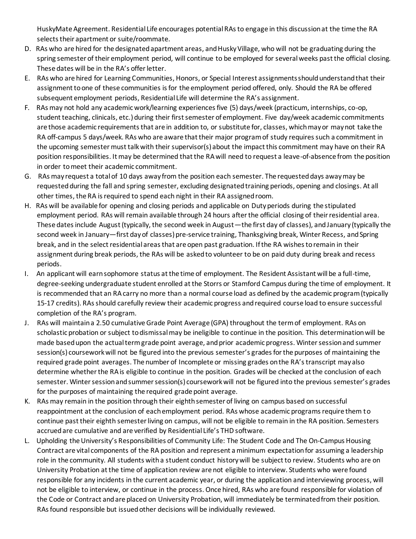HuskyMate Agreement. Residential Life encourages potential RAs to engage in this discussion at the time the RA selects their apartment or suite/roommate.

- D. RAs who are hired for the designated apartment areas, and Husky Village, who will not be graduating during the spring semester of their employment period, will continue to be employed for several weeks past the official closing. These dates will be in the RA's offer letter.
- E. RAs who are hired for Learning Communities, Honors, or Special Interest assignments should understand that their assignment to one of these communities is for the employment period offered, only. Should the RA be offered subsequent employment periods, Residential Life will determine the RA's assignment.
- F. RAs may not hold any academic work/learning experiences five (5) days/week (practicum, internships, co-op, student teaching, clinicals, etc.) during their first semester of employment. Five day/week academic commitments are those academic requirements that are in addition to, or substitute for, classes, which may or may not take the RA off-campus 5 days/week. RAs who are aware that their major program of study requires such a commitment in the upcoming semester must talk with their supervisor(s) about the impact this commitment may have on their RA position responsibilities. It may be determined that the RA will need to request a leave-of-absence from the position in order to meet their academic commitment.
- G. RAs may request a total of 10 days away from the position each semester. The requested days away may be requested during the fall and spring semester, excluding designated training periods, opening and closings. At all other times, the RA is required to spend each night in their RA assigned room.
- H. RAs will be available for opening and closing periods and applicable on Duty periods during the stipulated employment period. RAs will remain available through 24 hours after the official closing of their residential area. These dates include August (typically, the second week in August—the first day of classes), and January (typically the second week in January—first day of classes) pre-service training, Thanksgiving break, Winter Recess, and Spring break, and in the select residential areas that are open past graduation. If the RA wishes to remain in their assignment during break periods, the RAs will be asked to volunteer to be on paid duty during break and recess periods.
- I. An applicant will earn sophomore status at the time of employment. The Resident Assistant will be a full-time, degree-seeking undergraduate student enrolled at the Storrs or Stamford Campus during the time of employment. It is recommended that an RA carry no more than a normal course load as defined by the academic program (typically 15-17 credits). RAs should carefully review their academic progress and required course load to ensure successful completion of the RA's program.
- J. RAs will maintain a 2.50 cumulative Grade Point Average (GPA) throughout the term of employment. RAs on scholastic probation or subject to dismissal may be ineligible to continue in the position. This determination will be made based upon the actual term grade point average, and prior academic progress. Winter session and summer session(s) coursework will not be figured into the previous semester's grades for the purposes of maintaining the required grade point averages. The number of Incomplete or missing grades on the RA's transcript may also determine whetherthe RA is eligible to continue in the position. Grades will be checked at the conclusion of each semester. Winter session and summer session(s) coursework will not be figured into the previous semester's grades for the purposes of maintaining the required grade point average.
- K. RAs may remain in the position through their eighth semester of living on campus based on successful reappointment at the conclusion of each employment period. RAs whose academic programs require them to continue past their eighth semester living on campus, will not be eligible to remain in the RA position. Semesters accrued are cumulative and are verified by Residential Life's THD software.
- L. Upholding the University's Responsibilities of Community Life: The Student Code and The On-Campus Housing Contract are vital components of the RA position and represent a minimum expectation for assuming a leadership role in the community. All students with a student conduct history will be subject to review. Students who are on University Probation at the time of application review are not eligible to interview. Students who were found responsible for any incidents in the current academic year, or during the application and interviewing process, will not be eligible to interview, or continue in the process. Once hired, RAs who are found responsible for violation of the Code or Contract and are placed on University Probation, will immediately be terminated from their position. RAs found responsible but issued other decisions will be individually reviewed.